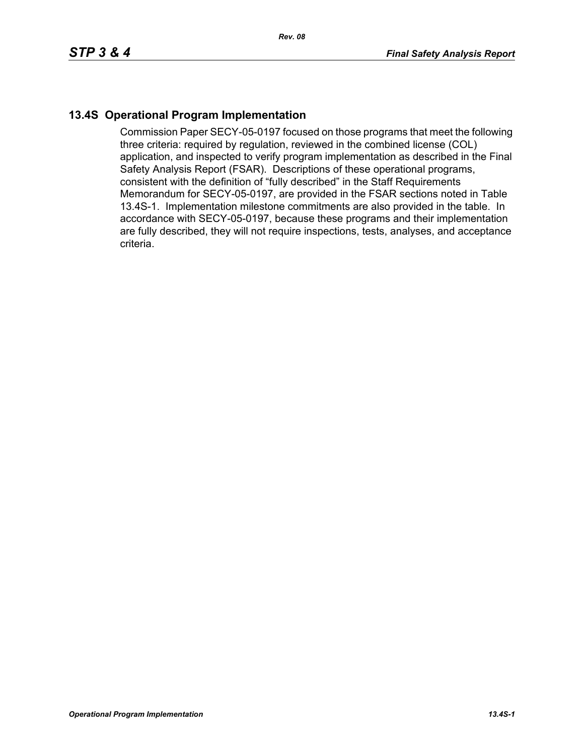## **13.4S Operational Program Implementation**

Commission Paper SECY-05-0197 focused on those programs that meet the following three criteria: required by regulation, reviewed in the combined license (COL) application, and inspected to verify program implementation as described in the Final Safety Analysis Report (FSAR). Descriptions of these operational programs, consistent with the definition of "fully described" in the Staff Requirements Memorandum for SECY-05-0197, are provided in the FSAR sections noted in Table 13.4S-1. Implementation milestone commitments are also provided in the table. In accordance with SECY-05-0197, because these programs and their implementation are fully described, they will not require inspections, tests, analyses, and acceptance criteria.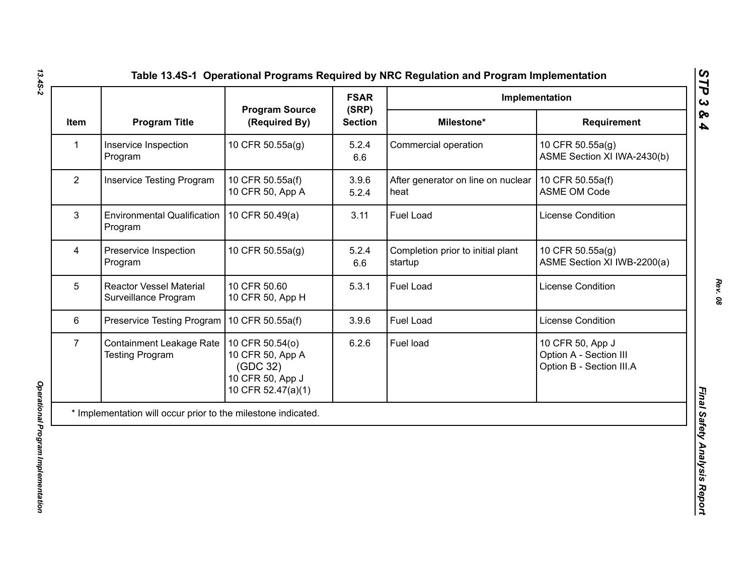| <b>Program Title</b><br>(Required By)<br><b>Section</b><br>Milestone*<br>Requirement<br><b>Item</b><br>Inservice Inspection<br>10 CFR 50.55a(g)<br>5.2.4<br>Commercial operation<br>10 CFR 50.55a(g)<br>$\mathbf{1}$<br>ASME Section XI IWA-2430(b)<br>Program<br>6.6<br>$\overline{2}$<br>After generator on line on nuclear<br>10 CFR 50.55a(f)<br><b>Inservice Testing Program</b><br>10 CFR 50.55a(f)<br>3.9.6<br>10 CFR 50, App A<br><b>ASME OM Code</b><br>5.2.4<br>heat<br>3<br><b>Environmental Qualification</b><br>10 CFR 50.49(a)<br>3.11<br><b>Fuel Load</b><br><b>License Condition</b><br>Program<br>Preservice Inspection<br>10 CFR 50.55a(g)<br>5.2.4<br>Completion prior to initial plant<br>4<br>10 CFR 50.55a(g)<br>Program<br>startup<br>6.6<br>5<br><b>Fuel Load</b><br>License Condition<br><b>Reactor Vessel Material</b><br>10 CFR 50.60<br>5.3.1<br>Surveillance Program<br>10 CFR 50, App H<br>$6\phantom{1}$<br>Preservice Testing Program   10 CFR 50.55a(f)<br>3.9.6<br>Fuel Load<br>License Condition<br>Fuel load<br>$\overline{7}$<br><b>Containment Leakage Rate</b><br>10 CFR 50.54(o)<br>6.2.6<br>10 CFR 50, App J<br>Option A - Section III<br><b>Testing Program</b><br>10 CFR 50, App A<br>Option B - Section III.A<br>(GDC 32)<br>10 CFR 50, App J<br>10 CFR 52.47(a)(1) |  |                       | <b>FSAR</b> | Implementation              |
|-----------------------------------------------------------------------------------------------------------------------------------------------------------------------------------------------------------------------------------------------------------------------------------------------------------------------------------------------------------------------------------------------------------------------------------------------------------------------------------------------------------------------------------------------------------------------------------------------------------------------------------------------------------------------------------------------------------------------------------------------------------------------------------------------------------------------------------------------------------------------------------------------------------------------------------------------------------------------------------------------------------------------------------------------------------------------------------------------------------------------------------------------------------------------------------------------------------------------------------------------------------------------------------------------------------------|--|-----------------------|-------------|-----------------------------|
|                                                                                                                                                                                                                                                                                                                                                                                                                                                                                                                                                                                                                                                                                                                                                                                                                                                                                                                                                                                                                                                                                                                                                                                                                                                                                                                 |  | <b>Program Source</b> | (SRP)       |                             |
|                                                                                                                                                                                                                                                                                                                                                                                                                                                                                                                                                                                                                                                                                                                                                                                                                                                                                                                                                                                                                                                                                                                                                                                                                                                                                                                 |  |                       |             |                             |
|                                                                                                                                                                                                                                                                                                                                                                                                                                                                                                                                                                                                                                                                                                                                                                                                                                                                                                                                                                                                                                                                                                                                                                                                                                                                                                                 |  |                       |             |                             |
|                                                                                                                                                                                                                                                                                                                                                                                                                                                                                                                                                                                                                                                                                                                                                                                                                                                                                                                                                                                                                                                                                                                                                                                                                                                                                                                 |  |                       |             |                             |
|                                                                                                                                                                                                                                                                                                                                                                                                                                                                                                                                                                                                                                                                                                                                                                                                                                                                                                                                                                                                                                                                                                                                                                                                                                                                                                                 |  |                       |             | ASME Section XI IWB-2200(a) |
|                                                                                                                                                                                                                                                                                                                                                                                                                                                                                                                                                                                                                                                                                                                                                                                                                                                                                                                                                                                                                                                                                                                                                                                                                                                                                                                 |  |                       |             |                             |
|                                                                                                                                                                                                                                                                                                                                                                                                                                                                                                                                                                                                                                                                                                                                                                                                                                                                                                                                                                                                                                                                                                                                                                                                                                                                                                                 |  |                       |             |                             |
|                                                                                                                                                                                                                                                                                                                                                                                                                                                                                                                                                                                                                                                                                                                                                                                                                                                                                                                                                                                                                                                                                                                                                                                                                                                                                                                 |  |                       |             |                             |

*13.4S-2*

*Rev. 08*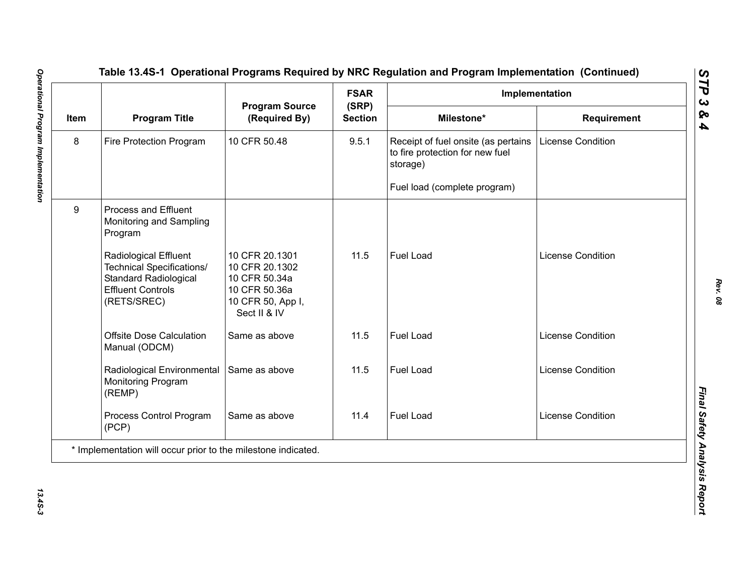|      |                                                                                                                               | <b>Program Source</b>                                                                                   | <b>FSAR</b><br>(SRP) |                                                                                    | Implementation           |
|------|-------------------------------------------------------------------------------------------------------------------------------|---------------------------------------------------------------------------------------------------------|----------------------|------------------------------------------------------------------------------------|--------------------------|
| Item | <b>Program Title</b>                                                                                                          | (Required By)                                                                                           | <b>Section</b>       | Milestone*                                                                         | Requirement              |
| 8    | Fire Protection Program                                                                                                       | 10 CFR 50.48                                                                                            | 9.5.1                | Receipt of fuel onsite (as pertains<br>to fire protection for new fuel<br>storage) | <b>License Condition</b> |
|      |                                                                                                                               |                                                                                                         |                      | Fuel load (complete program)                                                       |                          |
| 9    | <b>Process and Effluent</b><br>Monitoring and Sampling<br>Program                                                             |                                                                                                         |                      |                                                                                    |                          |
|      | Radiological Effluent<br>Technical Specifications/<br><b>Standard Radiological</b><br><b>Effluent Controls</b><br>(RETS/SREC) | 10 CFR 20.1301<br>10 CFR 20.1302<br>10 CFR 50.34a<br>10 CFR 50.36a<br>10 CFR 50, App I,<br>Sect II & IV | 11.5                 | Fuel Load                                                                          | <b>License Condition</b> |
|      | <b>Offsite Dose Calculation</b><br>Manual (ODCM)                                                                              | Same as above                                                                                           | 11.5                 | <b>Fuel Load</b>                                                                   | <b>License Condition</b> |
|      | Radiological Environmental<br>Monitoring Program<br>(REMP)                                                                    | Same as above                                                                                           | 11.5                 | Fuel Load                                                                          | <b>License Condition</b> |
|      | Process Control Program<br>(PCP)                                                                                              | Same as above                                                                                           | 11.4                 | Fuel Load                                                                          | <b>License Condition</b> |
|      | * Implementation will occur prior to the milestone indicated.                                                                 |                                                                                                         |                      |                                                                                    |                          |

13.45-3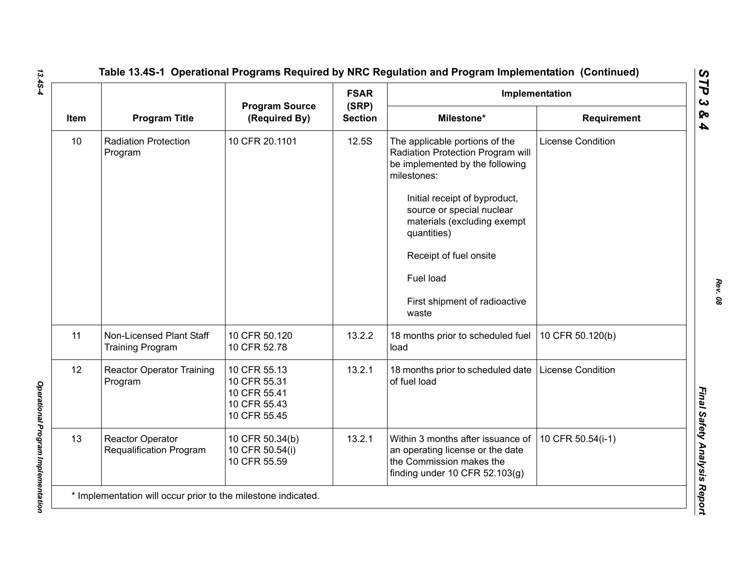|      |                                                           |                                                                              | <b>FSAR</b>             |                                                                                                                                                                                                                                                                                                                    | Implementation           |
|------|-----------------------------------------------------------|------------------------------------------------------------------------------|-------------------------|--------------------------------------------------------------------------------------------------------------------------------------------------------------------------------------------------------------------------------------------------------------------------------------------------------------------|--------------------------|
| Item | <b>Program Title</b>                                      | <b>Program Source</b><br>(Required By)                                       | (SRP)<br><b>Section</b> | Milestone*                                                                                                                                                                                                                                                                                                         | Requirement              |
| 10   | <b>Radiation Protection</b><br>Program                    | 10 CFR 20.1101                                                               | 12.5S                   | The applicable portions of the<br>Radiation Protection Program will<br>be implemented by the following<br>milestones:<br>Initial receipt of byproduct,<br>source or special nuclear<br>materials (excluding exempt<br>quantities)<br>Receipt of fuel onsite<br>Fuel load<br>First shipment of radioactive<br>waste | <b>License Condition</b> |
| 11   | Non-Licensed Plant Staff<br><b>Training Program</b>       | 10 CFR 50.120<br>10 CFR 52.78                                                | 13.2.2                  | 18 months prior to scheduled fuel<br>load                                                                                                                                                                                                                                                                          | 10 CFR 50.120(b)         |
| 12   | <b>Reactor Operator Training</b><br>Program               | 10 CFR 55.13<br>10 CFR 55.31<br>10 CFR 55.41<br>10 CFR 55.43<br>10 CFR 55.45 | 13.2.1                  | 18 months prior to scheduled date<br>of fuel load                                                                                                                                                                                                                                                                  | <b>License Condition</b> |
| 13   | <b>Reactor Operator</b><br><b>Requalification Program</b> | 10 CFR 50.34(b)<br>10 CFR 50.54(i)<br>10 CFR 55.59                           | 13.2.1                  | Within 3 months after issuance of<br>an operating license or the date<br>the Commission makes the<br>finding under 10 CFR $52.103(g)$                                                                                                                                                                              | 10 CFR 50.54(i-1)        |

*13.4S-4*

*Rev. 08*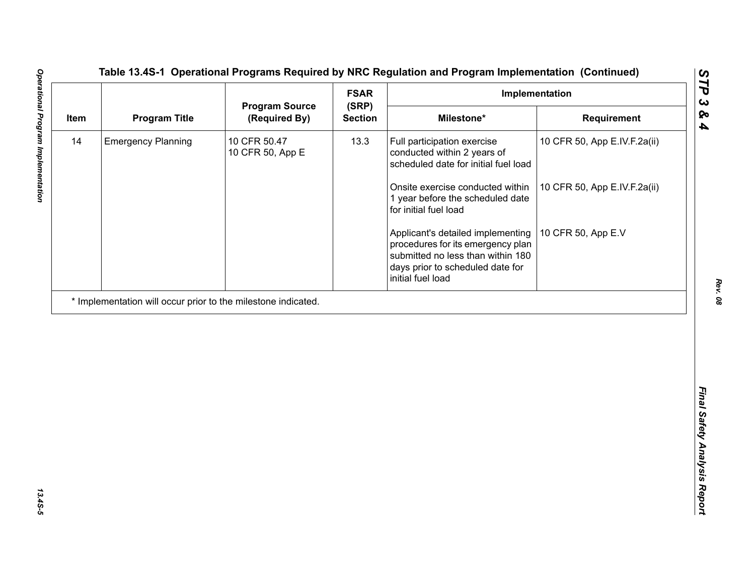| <b>Program Title</b><br>Milestone*<br>(Required By)<br><b>Section</b><br>Requirement<br><b>Emergency Planning</b><br>10 CFR 50.47<br>13.3<br>Full participation exercise<br>10 CFR 50, App E.IV.F.2a(ii)<br>10 CFR 50, App E<br>conducted within 2 years of<br>scheduled date for initial fuel load<br>Onsite exercise conducted within<br>10 CFR 50, App E.IV.F.2a(ii)<br>1 year before the scheduled date<br>for initial fuel load<br>10 CFR 50, App E.V<br>Applicant's detailed implementing<br>procedures for its emergency plan<br>submitted no less than within 180<br>days prior to scheduled date for<br>initial fuel load | 14<br>* Implementation will occur prior to the milestone indicated. |      |                       | <b>FSAR</b> | Implementation |
|------------------------------------------------------------------------------------------------------------------------------------------------------------------------------------------------------------------------------------------------------------------------------------------------------------------------------------------------------------------------------------------------------------------------------------------------------------------------------------------------------------------------------------------------------------------------------------------------------------------------------------|---------------------------------------------------------------------|------|-----------------------|-------------|----------------|
|                                                                                                                                                                                                                                                                                                                                                                                                                                                                                                                                                                                                                                    |                                                                     | Item | <b>Program Source</b> | (SRP)       |                |
|                                                                                                                                                                                                                                                                                                                                                                                                                                                                                                                                                                                                                                    |                                                                     |      |                       |             |                |
|                                                                                                                                                                                                                                                                                                                                                                                                                                                                                                                                                                                                                                    |                                                                     |      |                       |             |                |
|                                                                                                                                                                                                                                                                                                                                                                                                                                                                                                                                                                                                                                    |                                                                     |      |                       |             |                |
|                                                                                                                                                                                                                                                                                                                                                                                                                                                                                                                                                                                                                                    |                                                                     |      |                       |             |                |
|                                                                                                                                                                                                                                                                                                                                                                                                                                                                                                                                                                                                                                    |                                                                     |      |                       |             |                |
|                                                                                                                                                                                                                                                                                                                                                                                                                                                                                                                                                                                                                                    |                                                                     |      |                       |             |                |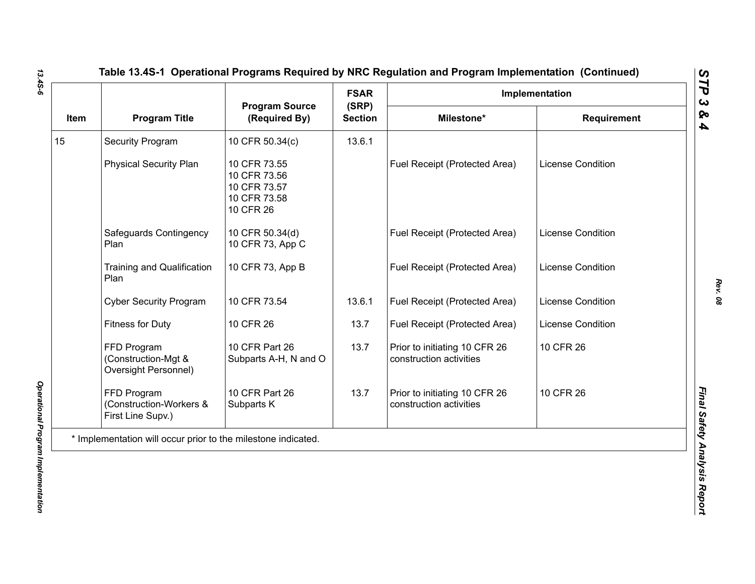|      |                                                               | <b>Program Source</b>                                                     | <b>FSAR</b>             |                                                          | Implementation           |
|------|---------------------------------------------------------------|---------------------------------------------------------------------------|-------------------------|----------------------------------------------------------|--------------------------|
| Item | <b>Program Title</b>                                          | (Required By)                                                             | (SRP)<br><b>Section</b> | Milestone*                                               | <b>Requirement</b>       |
| 15   | <b>Security Program</b>                                       | 10 CFR 50.34(c)                                                           | 13.6.1                  |                                                          |                          |
|      | <b>Physical Security Plan</b>                                 | 10 CFR 73.55<br>10 CFR 73.56<br>10 CFR 73.57<br>10 CFR 73.58<br>10 CFR 26 |                         | Fuel Receipt (Protected Area)                            | <b>License Condition</b> |
|      | Safeguards Contingency<br>Plan                                | 10 CFR 50.34(d)<br>10 CFR 73, App C                                       |                         | Fuel Receipt (Protected Area)                            | License Condition        |
|      | <b>Training and Qualification</b><br>Plan                     | 10 CFR 73, App B                                                          |                         | Fuel Receipt (Protected Area)                            | <b>License Condition</b> |
|      | <b>Cyber Security Program</b>                                 | 10 CFR 73.54                                                              | 13.6.1                  | Fuel Receipt (Protected Area)                            | License Condition        |
|      | <b>Fitness for Duty</b>                                       | 10 CFR 26                                                                 | 13.7                    | Fuel Receipt (Protected Area)                            | License Condition        |
|      | FFD Program<br>(Construction-Mgt &<br>Oversight Personnel)    | 10 CFR Part 26<br>Subparts A-H, N and O                                   | 13.7                    | Prior to initiating 10 CFR 26<br>construction activities | 10 CFR 26                |
|      | FFD Program<br>(Construction-Workers &<br>First Line Supv.)   | 10 CFR Part 26<br>Subparts K                                              | 13.7                    | Prior to initiating 10 CFR 26<br>construction activities | 10 CFR 26                |
|      | * Implementation will occur prior to the milestone indicated. |                                                                           |                         |                                                          |                          |

*Rev. 08*

*STP 3 & 4*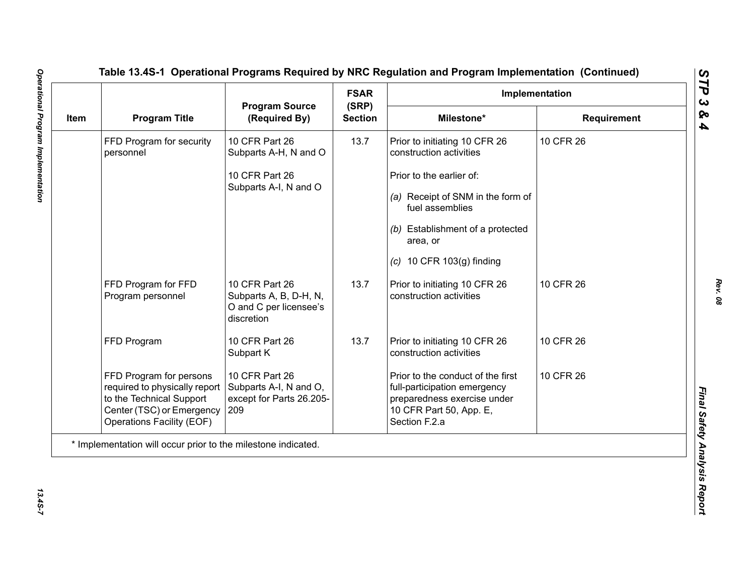|             |                                                                                                                                                |                                                                                  | <b>FSAR</b>             |                                                                                                                                              | Implementation     |
|-------------|------------------------------------------------------------------------------------------------------------------------------------------------|----------------------------------------------------------------------------------|-------------------------|----------------------------------------------------------------------------------------------------------------------------------------------|--------------------|
| <b>Item</b> | <b>Program Title</b>                                                                                                                           | <b>Program Source</b><br>(Required By)                                           | (SRP)<br><b>Section</b> | Milestone*                                                                                                                                   | <b>Requirement</b> |
|             | FFD Program for security<br>personnel                                                                                                          | 10 CFR Part 26<br>Subparts A-H, N and O                                          | 13.7                    | Prior to initiating 10 CFR 26<br>construction activities                                                                                     | 10 CFR 26          |
|             |                                                                                                                                                | 10 CFR Part 26                                                                   |                         | Prior to the earlier of:                                                                                                                     |                    |
|             |                                                                                                                                                | Subparts A-I, N and O                                                            |                         | (a) Receipt of SNM in the form of<br>fuel assemblies                                                                                         |                    |
|             |                                                                                                                                                |                                                                                  |                         | (b) Establishment of a protected<br>area, or                                                                                                 |                    |
|             |                                                                                                                                                |                                                                                  |                         | $(c)$ 10 CFR 103 $(g)$ finding                                                                                                               |                    |
|             | FFD Program for FFD<br>Program personnel                                                                                                       | 10 CFR Part 26<br>Subparts A, B, D-H, N,<br>O and C per licensee's<br>discretion | 13.7                    | Prior to initiating 10 CFR 26<br>construction activities                                                                                     | 10 CFR 26          |
|             | FFD Program                                                                                                                                    | 10 CFR Part 26<br>Subpart K                                                      | 13.7                    | Prior to initiating 10 CFR 26<br>construction activities                                                                                     | 10 CFR 26          |
|             | FFD Program for persons<br>required to physically report<br>to the Technical Support<br>Center (TSC) or Emergency<br>Operations Facility (EOF) | 10 CFR Part 26<br>Subparts A-I, N and O,<br>except for Parts 26.205-<br>209      |                         | Prior to the conduct of the first<br>full-participation emergency<br>preparedness exercise under<br>10 CFR Part 50, App. E,<br>Section F.2.a | 10 CFR 26          |
|             | * Implementation will occur prior to the milestone indicated.                                                                                  |                                                                                  |                         |                                                                                                                                              |                    |

*Rev. 08*

13.45-7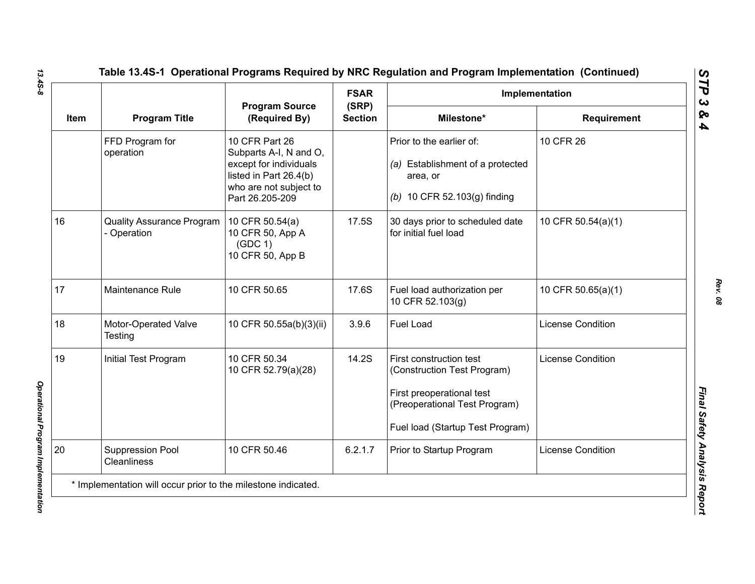|      |                                               |                                                                                                                                           | <b>FSAR</b>             |                                                                                                                                                          | Implementation           |
|------|-----------------------------------------------|-------------------------------------------------------------------------------------------------------------------------------------------|-------------------------|----------------------------------------------------------------------------------------------------------------------------------------------------------|--------------------------|
| Item | <b>Program Title</b>                          | <b>Program Source</b><br>(Required By)                                                                                                    | (SRP)<br><b>Section</b> | Milestone*                                                                                                                                               | <b>Requirement</b>       |
|      | FFD Program for<br>operation                  | 10 CFR Part 26<br>Subparts A-I, N and O,<br>except for individuals<br>listed in Part 26.4(b)<br>who are not subject to<br>Part 26.205-209 |                         | Prior to the earlier of:<br>(a) Establishment of a protected<br>area, or<br>(b) 10 CFR 52.103(g) finding                                                 | 10 CFR 26                |
| 16   | <b>Quality Assurance Program</b><br>Operation | 10 CFR 50.54(a)<br>10 CFR 50, App A<br>(GDC 1)<br>10 CFR 50, App B                                                                        | 17.5S                   | 30 days prior to scheduled date<br>for initial fuel load                                                                                                 | 10 CFR 50.54(a)(1)       |
| 17   | Maintenance Rule                              | 10 CFR 50.65                                                                                                                              | 17.6S                   | Fuel load authorization per<br>10 CFR 52.103(g)                                                                                                          | 10 CFR 50.65(a)(1)       |
| 18   | Motor-Operated Valve<br>Testing               | 10 CFR 50.55a(b)(3)(ii)                                                                                                                   | 3.9.6                   | <b>Fuel Load</b>                                                                                                                                         | <b>License Condition</b> |
| 19   | Initial Test Program                          | 10 CFR 50.34<br>10 CFR 52.79(a)(28)                                                                                                       | 14.2S                   | First construction test<br>(Construction Test Program)<br>First preoperational test<br>(Preoperational Test Program)<br>Fuel load (Startup Test Program) | <b>License Condition</b> |
| 20   | <b>Suppression Pool</b><br><b>Cleanliness</b> | 10 CFR 50.46                                                                                                                              | 6.2.1.7                 | Prior to Startup Program                                                                                                                                 | <b>License Condition</b> |